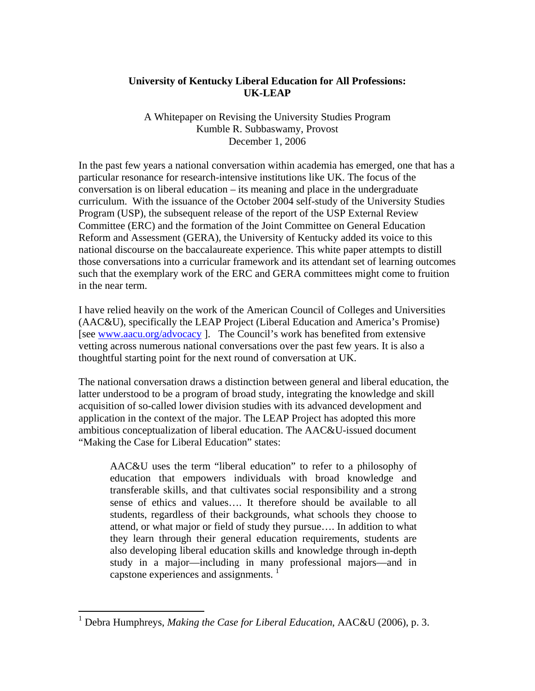# **University of Kentucky Liberal Education for All Professions: UK-LEAP**

A Whitepaper on Revising the University Studies Program Kumble R. Subbaswamy, Provost December 1, 2006

In the past few years a national conversation within academia has emerged, one that has a particular resonance for research-intensive institutions like UK. The focus of the conversation is on liberal education – its meaning and place in the undergraduate curriculum. With the issuance of the October 2004 self-study of the University Studies Program (USP), the subsequent release of the report of the USP External Review Committee (ERC) and the formation of the Joint Committee on General Education Reform and Assessment (GERA), the University of Kentucky added its voice to this national discourse on the baccalaureate experience. This white paper attempts to distill those conversations into a curricular framework and its attendant set of learning outcomes such that the exemplary work of the ERC and GERA committees might come to fruition in the near term.

I have relied heavily on the work of the American Council of Colleges and Universities (AAC&U), specifically the LEAP Project (Liberal Education and America's Promise) [see www.aacu.org/advocacy ]. The Council's work has benefited from extensive vetting across numerous national conversations over the past few years. It is also a thoughtful starting point for the next round of conversation at UK.

The national conversation draws a distinction between general and liberal education, the latter understood to be a program of broad study, integrating the knowledge and skill acquisition of so-called lower division studies with its advanced development and application in the context of the major. The LEAP Project has adopted this more ambitious conceptualization of liberal education. The AAC&U-issued document "Making the Case for Liberal Education" states:

AAC&U uses the term "liberal education" to refer to a philosophy of education that empowers individuals with broad knowledge and transferable skills, and that cultivates social responsibility and a strong sense of ethics and values…. It therefore should be available to all students, regardless of their backgrounds, what schools they choose to attend, or what major or field of study they pursue…. In addition to what they learn through their general education requirements, students are also developing liberal education skills and knowledge through in-depth study in a major—including in many professional majors—and in capstone experiences and assignments.  $\frac{1}{1}$ 

<u>.</u>

<sup>&</sup>lt;sup>1</sup> Debra Humphreys, *Making the Case for Liberal Education*, AAC&U (2006), p. 3.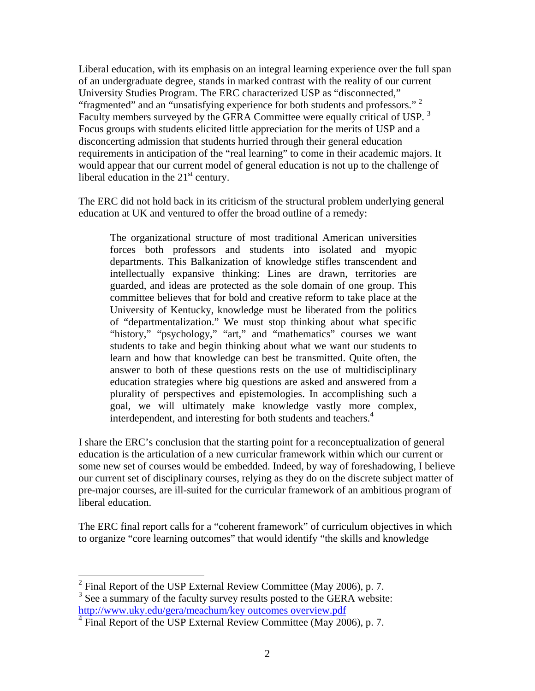Liberal education, with its emphasis on an integral learning experience over the full span of an undergraduate degree, stands in marked contrast with the reality of our current University Studies Program. The ERC characterized USP as "disconnected," "fragmented" and an "unsatisfying experience for both students and professors." <sup>2</sup> Faculty members surveyed by the GERA Committee were equally critical of USP.  $3$ Focus groups with students elicited little appreciation for the merits of USP and a disconcerting admission that students hurried through their general education requirements in anticipation of the "real learning" to come in their academic majors. It would appear that our current model of general education is not up to the challenge of liberal education in the  $21<sup>st</sup>$  century.

The ERC did not hold back in its criticism of the structural problem underlying general education at UK and ventured to offer the broad outline of a remedy:

The organizational structure of most traditional American universities forces both professors and students into isolated and myopic departments. This Balkanization of knowledge stifles transcendent and intellectually expansive thinking: Lines are drawn, territories are guarded, and ideas are protected as the sole domain of one group. This committee believes that for bold and creative reform to take place at the University of Kentucky, knowledge must be liberated from the politics of "departmentalization." We must stop thinking about what specific "history," "psychology," "art," and "mathematics" courses we want students to take and begin thinking about what we want our students to learn and how that knowledge can best be transmitted. Quite often, the answer to both of these questions rests on the use of multidisciplinary education strategies where big questions are asked and answered from a plurality of perspectives and epistemologies. In accomplishing such a goal, we will ultimately make knowledge vastly more complex, interdependent, and interesting for both students and teachers.<sup>4</sup>

I share the ERC's conclusion that the starting point for a reconceptualization of general education is the articulation of a new curricular framework within which our current or some new set of courses would be embedded. Indeed, by way of foreshadowing, I believe our current set of disciplinary courses, relying as they do on the discrete subject matter of pre-major courses, are ill-suited for the curricular framework of an ambitious program of liberal education.

The ERC final report calls for a "coherent framework" of curriculum objectives in which to organize "core learning outcomes" that would identify "the skills and knowledge

1

 $2$  Final Report of the USP External Review Committee (May 2006), p. 7.  $3$  See a summary of the faculty survey results posted to the GERA website:

http://www.uky.edu/gera/meachum/key outcomes overview.pdf

<sup>&</sup>lt;sup>4</sup> Final Report of the USP External Review Committee (May 2006), p. 7.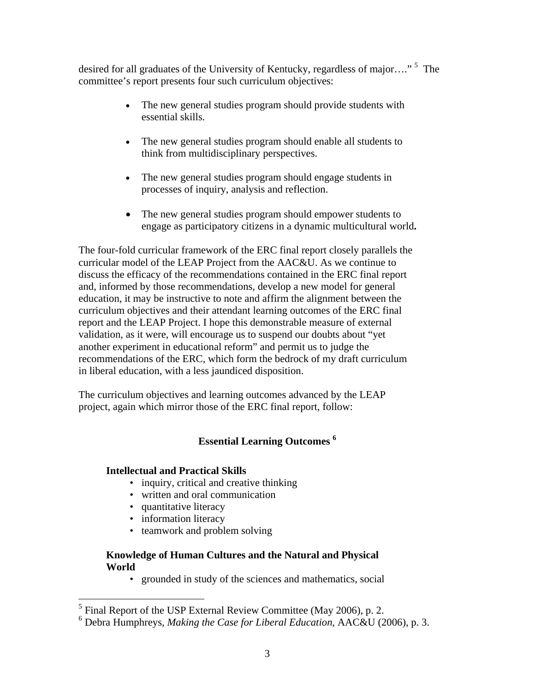desired for all graduates of the University of Kentucky, regardless of major...."<sup>5</sup> The committee's report presents four such curriculum objectives:

- The new general studies program should provide students with essential skills.
- The new general studies program should enable all students to think from multidisciplinary perspectives.
- The new general studies program should engage students in processes of inquiry, analysis and reflection.
- The new general studies program should empower students to engage as participatory citizens in a dynamic multicultural world**.**

The four-fold curricular framework of the ERC final report closely parallels the curricular model of the LEAP Project from the AAC&U. As we continue to discuss the efficacy of the recommendations contained in the ERC final report and, informed by those recommendations, develop a new model for general education, it may be instructive to note and affirm the alignment between the curriculum objectives and their attendant learning outcomes of the ERC final report and the LEAP Project. I hope this demonstrable measure of external validation, as it were, will encourage us to suspend our doubts about "yet another experiment in educational reform" and permit us to judge the recommendations of the ERC, which form the bedrock of my draft curriculum in liberal education, with a less jaundiced disposition.

The curriculum objectives and learning outcomes advanced by the LEAP project, again which mirror those of the ERC final report, follow:

# **Essential Learning Outcomes 6**

#### **Intellectual and Practical Skills**

- inquiry, critical and creative thinking
- written and oral communication
- quantitative literacy
- information literacy
- teamwork and problem solving

#### **Knowledge of Human Cultures and the Natural and Physical World**

• grounded in study of the sciences and mathematics, social

<sup>&</sup>lt;sup>5</sup> Final Report of the USP External Review Committee (May 2006), p. 2.

<sup>6</sup> Debra Humphreys, *Making the Case for Liberal Education*, AAC&U (2006), p. 3.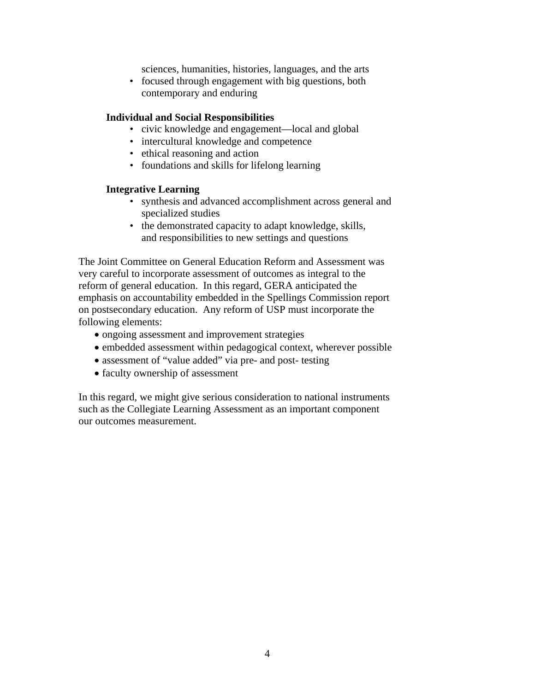sciences, humanities, histories, languages, and the arts

• focused through engagement with big questions, both contemporary and enduring

#### **Individual and Social Responsibilities**

- civic knowledge and engagement—local and global
- intercultural knowledge and competence
- ethical reasoning and action
- foundations and skills for lifelong learning

#### **Integrative Learning**

- synthesis and advanced accomplishment across general and specialized studies
- the demonstrated capacity to adapt knowledge, skills, and responsibilities to new settings and questions

The Joint Committee on General Education Reform and Assessment was very careful to incorporate assessment of outcomes as integral to the reform of general education. In this regard, GERA anticipated the emphasis on accountability embedded in the Spellings Commission report on postsecondary education. Any reform of USP must incorporate the following elements:

- ongoing assessment and improvement strategies
- embedded assessment within pedagogical context, wherever possible
- assessment of "value added" via pre- and post- testing
- faculty ownership of assessment

In this regard, we might give serious consideration to national instruments such as the Collegiate Learning Assessment as an important component our outcomes measurement.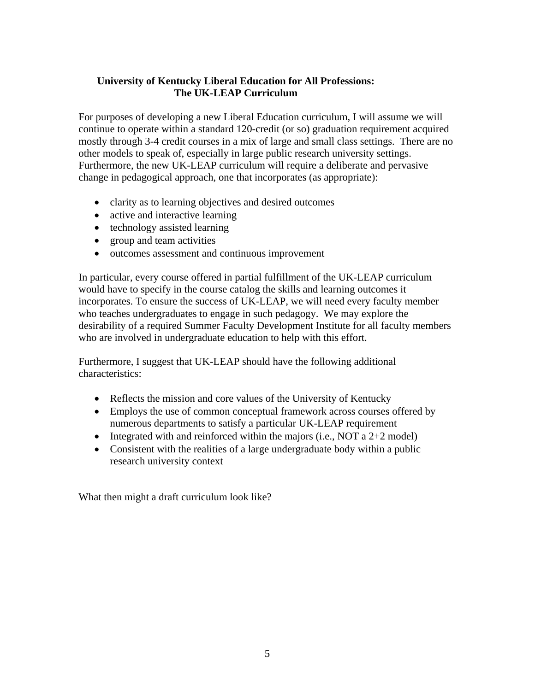# **University of Kentucky Liberal Education for All Professions: The UK-LEAP Curriculum**

For purposes of developing a new Liberal Education curriculum, I will assume we will continue to operate within a standard 120-credit (or so) graduation requirement acquired mostly through 3-4 credit courses in a mix of large and small class settings. There are no other models to speak of, especially in large public research university settings. Furthermore, the new UK-LEAP curriculum will require a deliberate and pervasive change in pedagogical approach, one that incorporates (as appropriate):

- clarity as to learning objectives and desired outcomes
- active and interactive learning
- technology assisted learning
- group and team activities
- outcomes assessment and continuous improvement

In particular, every course offered in partial fulfillment of the UK-LEAP curriculum would have to specify in the course catalog the skills and learning outcomes it incorporates. To ensure the success of UK-LEAP, we will need every faculty member who teaches undergraduates to engage in such pedagogy. We may explore the desirability of a required Summer Faculty Development Institute for all faculty members who are involved in undergraduate education to help with this effort.

Furthermore, I suggest that UK-LEAP should have the following additional characteristics:

- Reflects the mission and core values of the University of Kentucky
- Employs the use of common conceptual framework across courses offered by numerous departments to satisfy a particular UK-LEAP requirement
- Integrated with and reinforced within the majors (i.e., NOT a  $2+2$  model)
- Consistent with the realities of a large undergraduate body within a public research university context

What then might a draft curriculum look like?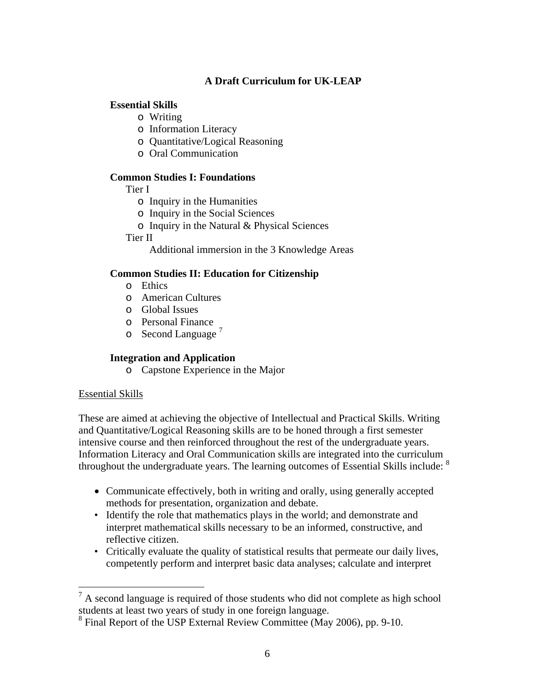# **A Draft Curriculum for UK-LEAP**

# **Essential Skills**

- o Writing
- o Information Literacy
- o Quantitative/Logical Reasoning
- o Oral Communication

## **Common Studies I: Foundations**

Tier I

- o Inquiry in the Humanities
- o Inquiry in the Social Sciences
- o Inquiry in the Natural & Physical Sciences

Tier II

Additional immersion in the 3 Knowledge Areas

#### **Common Studies II: Education for Citizenship**

- o Ethics
- o American Cultures
- o Global Issues
- o Personal Finance
- $\circ$  Second Language<sup>7</sup>

## **Integration and Application**

o Capstone Experience in the Major

## Essential Skills

1

These are aimed at achieving the objective of Intellectual and Practical Skills. Writing and Quantitative/Logical Reasoning skills are to be honed through a first semester intensive course and then reinforced throughout the rest of the undergraduate years. Information Literacy and Oral Communication skills are integrated into the curriculum throughout the undergraduate years. The learning outcomes of Essential Skills include: <sup>8</sup>

- Communicate effectively, both in writing and orally, using generally accepted methods for presentation, organization and debate.
- Identify the role that mathematics plays in the world; and demonstrate and interpret mathematical skills necessary to be an informed, constructive, and reflective citizen.
- Critically evaluate the quality of statistical results that permeate our daily lives, competently perform and interpret basic data analyses; calculate and interpret

 $<sup>7</sup>$  A second language is required of those students who did not complete as high school</sup> students at least two years of study in one foreign language.

<sup>&</sup>lt;sup>8</sup> Final Report of the USP External Review Committee (May 2006), pp. 9-10.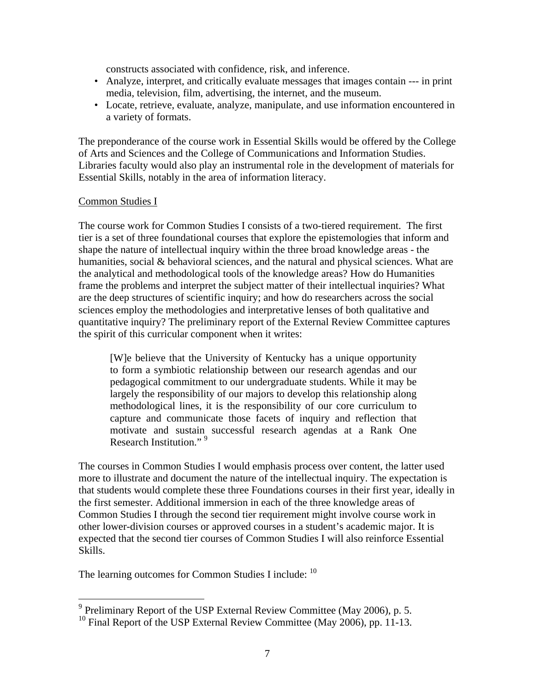constructs associated with confidence, risk, and inference.

- Analyze, interpret, and critically evaluate messages that images contain --- in print media, television, film, advertising, the internet, and the museum.
- Locate, retrieve, evaluate, analyze, manipulate, and use information encountered in a variety of formats.

The preponderance of the course work in Essential Skills would be offered by the College of Arts and Sciences and the College of Communications and Information Studies. Libraries faculty would also play an instrumental role in the development of materials for Essential Skills, notably in the area of information literacy.

#### Common Studies I

 $\overline{a}$ 

The course work for Common Studies I consists of a two-tiered requirement. The first tier is a set of three foundational courses that explore the epistemologies that inform and shape the nature of intellectual inquiry within the three broad knowledge areas - the humanities, social & behavioral sciences, and the natural and physical sciences. What are the analytical and methodological tools of the knowledge areas? How do Humanities frame the problems and interpret the subject matter of their intellectual inquiries? What are the deep structures of scientific inquiry; and how do researchers across the social sciences employ the methodologies and interpretative lenses of both qualitative and quantitative inquiry? The preliminary report of the External Review Committee captures the spirit of this curricular component when it writes:

[W]e believe that the University of Kentucky has a unique opportunity to form a symbiotic relationship between our research agendas and our pedagogical commitment to our undergraduate students. While it may be largely the responsibility of our majors to develop this relationship along methodological lines, it is the responsibility of our core curriculum to capture and communicate those facets of inquiry and reflection that motivate and sustain successful research agendas at a Rank One Research Institution."<sup>9</sup>

The courses in Common Studies I would emphasis process over content, the latter used more to illustrate and document the nature of the intellectual inquiry. The expectation is that students would complete these three Foundations courses in their first year, ideally in the first semester. Additional immersion in each of the three knowledge areas of Common Studies I through the second tier requirement might involve course work in other lower-division courses or approved courses in a student's academic major. It is expected that the second tier courses of Common Studies I will also reinforce Essential Skills.

The learning outcomes for Common Studies I include: <sup>10</sup>

 $9$  Preliminary Report of the USP External Review Committee (May 2006), p. 5.

<sup>&</sup>lt;sup>10</sup> Final Report of the USP External Review Committee (May 2006), pp. 11-13.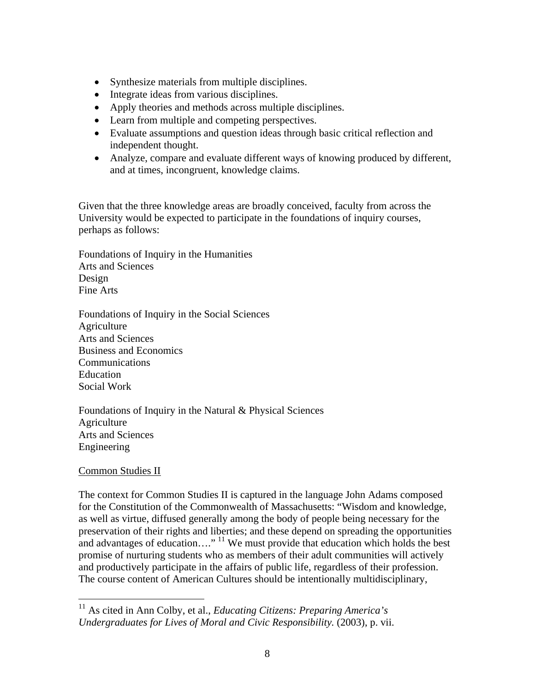- Synthesize materials from multiple disciplines.
- Integrate ideas from various disciplines.
- Apply theories and methods across multiple disciplines.
- Learn from multiple and competing perspectives.
- Evaluate assumptions and question ideas through basic critical reflection and independent thought.
- Analyze, compare and evaluate different ways of knowing produced by different, and at times, incongruent, knowledge claims.

Given that the three knowledge areas are broadly conceived, faculty from across the University would be expected to participate in the foundations of inquiry courses, perhaps as follows:

Foundations of Inquiry in the Humanities Arts and Sciences Design Fine Arts

Foundations of Inquiry in the Social Sciences Agriculture Arts and Sciences Business and Economics Communications Education Social Work

Foundations of Inquiry in the Natural & Physical Sciences Agriculture Arts and Sciences Engineering

#### Common Studies II

 $\overline{a}$ 

The context for Common Studies II is captured in the language John Adams composed for the Constitution of the Commonwealth of Massachusetts: "Wisdom and knowledge, as well as virtue, diffused generally among the body of people being necessary for the preservation of their rights and liberties; and these depend on spreading the opportunities and advantages of education…."<sup>11</sup> We must provide that education which holds the best promise of nurturing students who as members of their adult communities will actively and productively participate in the affairs of public life, regardless of their profession. The course content of American Cultures should be intentionally multidisciplinary,

<sup>11</sup> As cited in Ann Colby, et al., *Educating Citizens: Preparing America's Undergraduates for Lives of Moral and Civic Responsibility.* (2003), p. vii.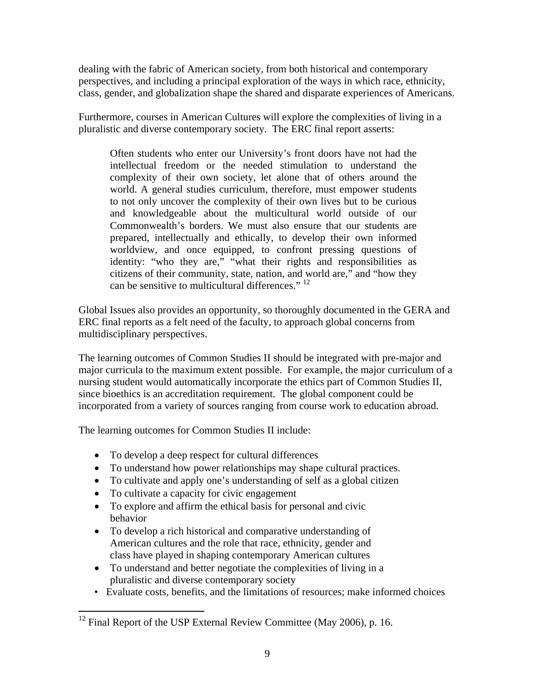dealing with the fabric of American society, from both historical and contemporary perspectives, and including a principal exploration of the ways in which race, ethnicity, class, gender, and globalization shape the shared and disparate experiences of Americans.

Furthermore, courses in American Cultures will explore the complexities of living in a pluralistic and diverse contemporary society. The ERC final report asserts:

Often students who enter our University's front doors have not had the intellectual freedom or the needed stimulation to understand the complexity of their own society, let alone that of others around the world. A general studies curriculum, therefore, must empower students to not only uncover the complexity of their own lives but to be curious and knowledgeable about the multicultural world outside of our Commonwealth's borders. We must also ensure that our students are prepared, intellectually and ethically, to develop their own informed worldview, and once equipped, to confront pressing questions of identity: "who they are," "what their rights and responsibilities as citizens of their community, state, nation, and world are," and "how they can be sensitive to multicultural differences."  $^{12}$ 

Global Issues also provides an opportunity, so thoroughly documented in the GERA and ERC final reports as a felt need of the faculty, to approach global concerns from multidisciplinary perspectives.

The learning outcomes of Common Studies II should be integrated with pre-major and major curricula to the maximum extent possible. For example, the major curriculum of a nursing student would automatically incorporate the ethics part of Common Studies II, since bioethics is an accreditation requirement. The global component could be incorporated from a variety of sources ranging from course work to education abroad.

The learning outcomes for Common Studies II include:

- To develop a deep respect for cultural differences
- To understand how power relationships may shape cultural practices.
- To cultivate and apply one's understanding of self as a global citizen
- To cultivate a capacity for civic engagement
- To explore and affirm the ethical basis for personal and civic behavior
- To develop a rich historical and comparative understanding of American cultures and the role that race, ethnicity, gender and class have played in shaping contemporary American cultures
- To understand and better negotiate the complexities of living in a pluralistic and diverse contemporary society
- Evaluate costs, benefits, and the limitations of resources; make informed choices

<sup>&</sup>lt;u>.</u>  $12$  Final Report of the USP External Review Committee (May 2006), p. 16.